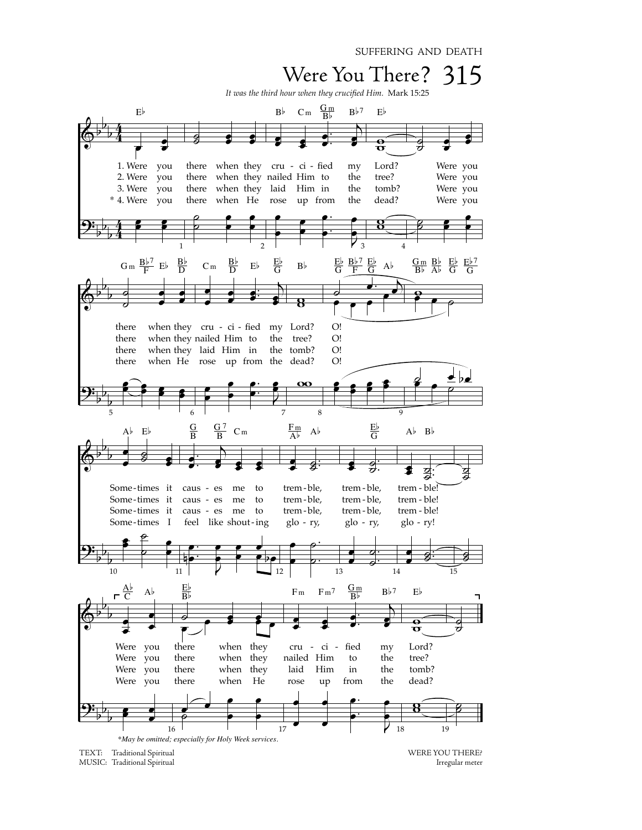



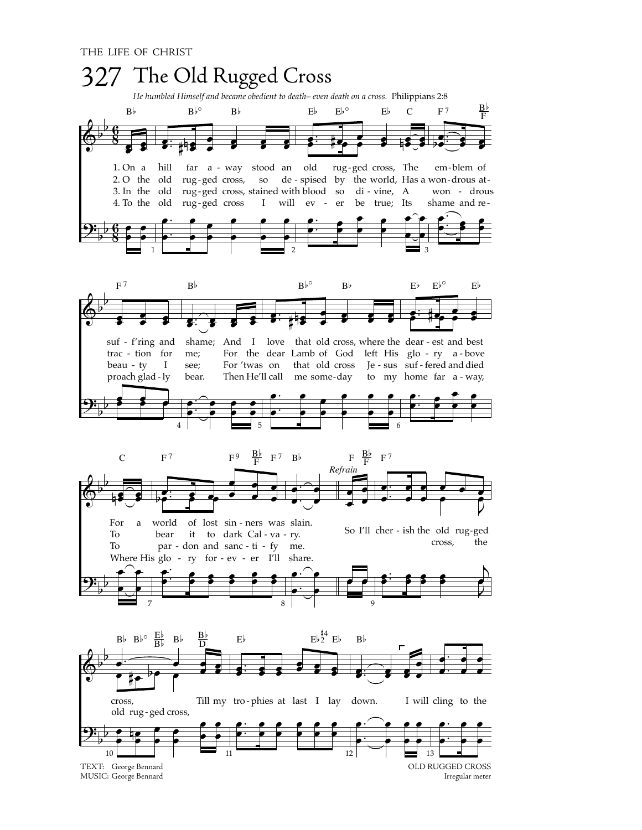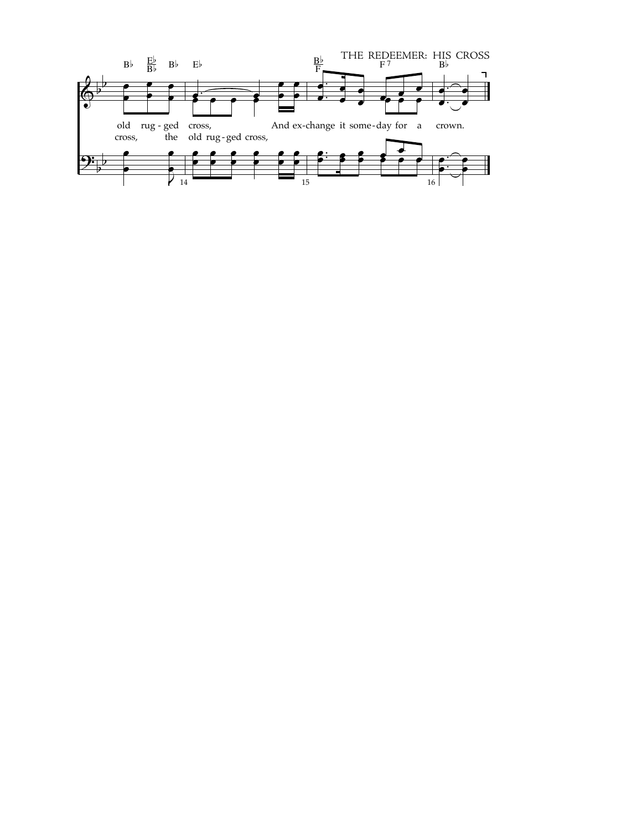